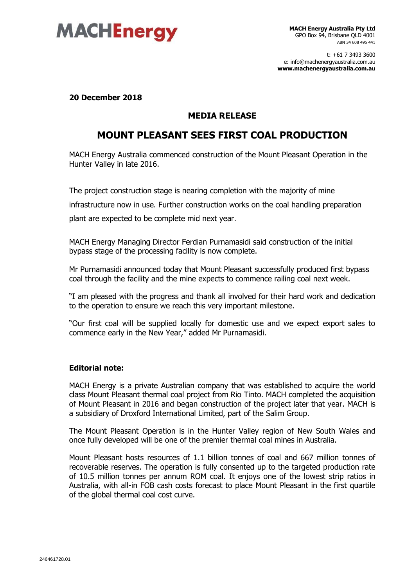

t: +61 7 3493 3600 e: info@machenergyaustralia.com.au **www.machenergyaustralia.com.au**

**20 December 2018**

## **MEDIA RELEASE**

## **MOUNT PLEASANT SEES FIRST COAL PRODUCTION**

MACH Energy Australia commenced construction of the Mount Pleasant Operation in the Hunter Valley in late 2016.

The project construction stage is nearing completion with the majority of mine infrastructure now in use. Further construction works on the coal handling preparation plant are expected to be complete mid next year.

MACH Energy Managing Director Ferdian Purnamasidi said construction of the initial bypass stage of the processing facility is now complete.

Mr Purnamasidi announced today that Mount Pleasant successfully produced first bypass coal through the facility and the mine expects to commence railing coal next week.

"I am pleased with the progress and thank all involved for their hard work and dedication to the operation to ensure we reach this very important milestone.

"Our first coal will be supplied locally for domestic use and we expect export sales to commence early in the New Year," added Mr Purnamasidi.

## **Editorial note:**

MACH Energy is a private Australian company that was established to acquire the world class Mount Pleasant thermal coal project from Rio Tinto. MACH completed the acquisition of Mount Pleasant in 2016 and began construction of the project later that year. MACH is a subsidiary of Droxford International Limited, part of the Salim Group.

The Mount Pleasant Operation is in the Hunter Valley region of New South Wales and once fully developed will be one of the premier thermal coal mines in Australia.

Mount Pleasant hosts resources of 1.1 billion tonnes of coal and 667 million tonnes of recoverable reserves. The operation is fully consented up to the targeted production rate of 10.5 million tonnes per annum ROM coal. It enjoys one of the lowest strip ratios in Australia, with all-in FOB cash costs forecast to place Mount Pleasant in the first quartile of the global thermal coal cost curve.